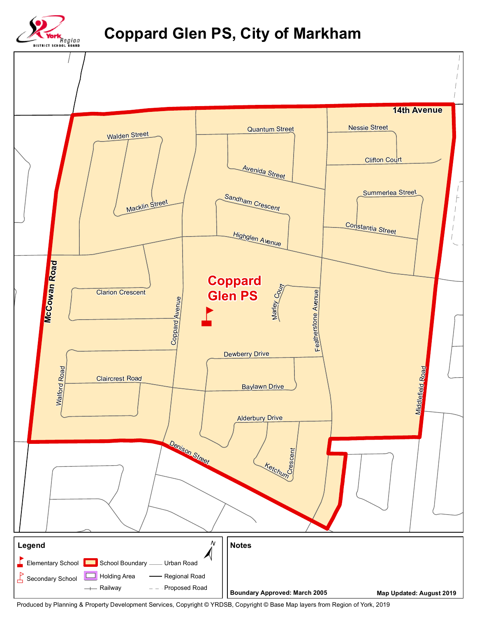

## **Coppard Glen PS, City of Markham**



Produced by Planning & Property Development Services, Copyright © YRDSB, Copyright © Base Map layers from Region of York, 2019